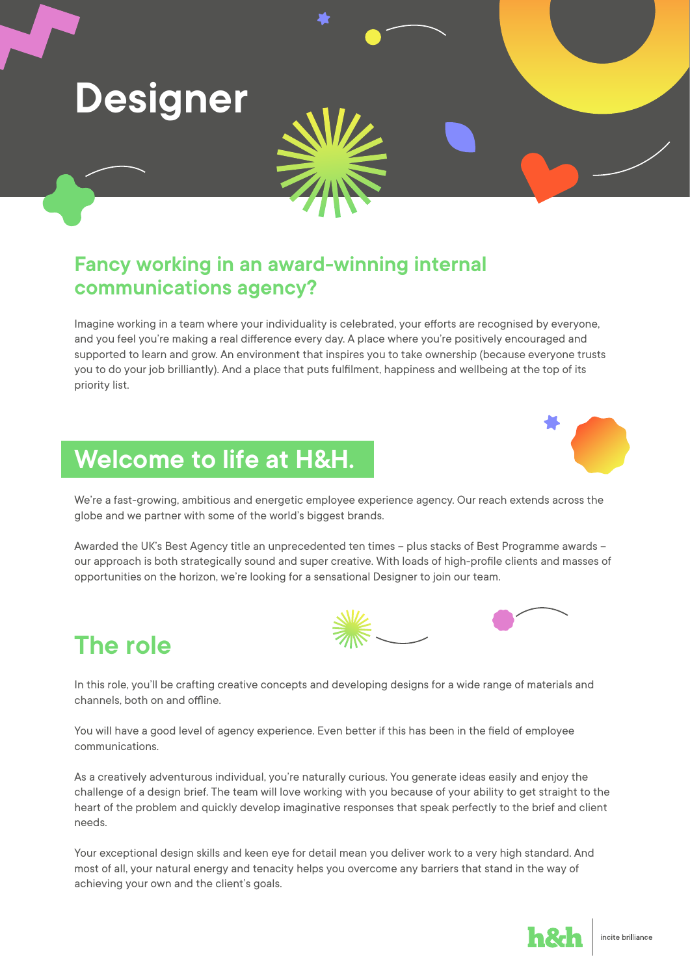

## **Fancy working in an award-winning internal communications agency?**

Imagine working in a team where your individuality is celebrated, your efforts are recognised by everyone, and you feel you're making a real difference every day. A place where you're positively encouraged and supported to learn and grow. An environment that inspires you to take ownership (because everyone trusts you to do your job brilliantly). And a place that puts fulfilment, happiness and wellbeing at the top of its priority list.

## **Welcome to life at H&H.**



We're a fast-growing, ambitious and energetic employee experience agency. Our reach extends across the globe and we partner with some of the world's biggest brands.

Awarded the UK's Best Agency title an unprecedented ten times – plus stacks of Best Programme awards – our approach is both strategically sound and super creative. With loads of high-profile clients and masses of opportunities on the horizon, we're looking for a sensational Designer to join our team.



**The role**

In this role, you'll be crafting creative concepts and developing designs for a wide range of materials and channels, both on and offline.

You will have a good level of agency experience. Even better if this has been in the field of employee communications.

As a creatively adventurous individual, you're naturally curious. You generate ideas easily and enjoy the challenge of a design brief. The team will love working with you because of your ability to get straight to the heart of the problem and quickly develop imaginative responses that speak perfectly to the brief and client needs.

Your exceptional design skills and keen eye for detail mean you deliver work to a very high standard. And most of all, your natural energy and tenacity helps you overcome any barriers that stand in the way of achieving your own and the client's goals.